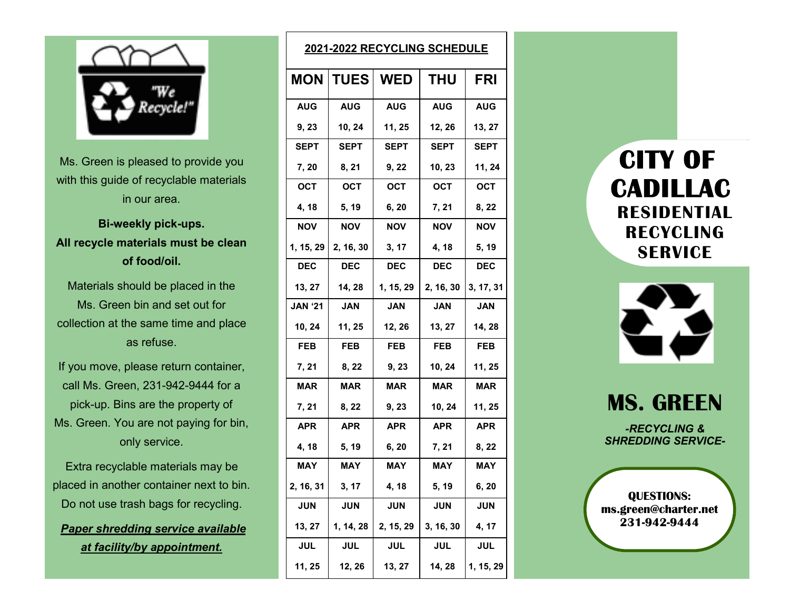

Ms. Green is pleased to provide you with this guide of recyclable materials in our area.

**Bi-weekly pick-ups. All recycle materials must be clean of food/oil.**

Materials should be placed in the Ms. Green bin and set out for collection at the same time and place as refuse.

If you move, please return container, call Ms. Green, 231-942-9444 for a pick-up. Bins are the property of Ms. Green. You are not paying for bin, only service.

Extra recyclable materials may be placed in another container next to bin. Do not use trash bags for recycling.

*Paper shredding service available at facility/by appointment.*

| 2021-2022 RECYCLING SCHEDULE |                 |             |             |             |
|------------------------------|-----------------|-------------|-------------|-------------|
|                              | <b>MON TUES</b> | WED         | <b>THU</b>  | <b>FRI</b>  |
| <b>AUG</b>                   | <b>AUG</b>      | <b>AUG</b>  | <b>AUG</b>  | <b>AUG</b>  |
| 9, 23                        | 10, 24          | 11, 25      | 12, 26      | 13, 27      |
| SEPT                         | SEPT            | <b>SEPT</b> | <b>SEPT</b> | <b>SEPT</b> |
| 7, 20                        | 8, 21           | 9, 22       | 10, 23      | 11, 24      |
| <b>OCT</b>                   | <b>OCT</b>      | <b>OCT</b>  | <b>OCT</b>  | <b>OCT</b>  |
| 4, 18                        | 5, 19           | 6, 20       | 7, 21       | 8, 22       |
| <b>NOV</b>                   | NOV             | <b>NOV</b>  | NOV         | <b>NOV</b>  |
| 1, 15, 29                    | 2, 16, 30       | 3, 17       | 4, 18       | 5, 19       |
| <b>DEC</b>                   | <b>DEC</b>      | <b>DEC</b>  | <b>DEC</b>  | <b>DEC</b>  |
| 13, 27                       | 14, 28          | 1, 15, 29   | 2, 16, 30   | 3, 17, 31   |
| <b>JAN '21</b>               | <b>JAN</b>      | <b>JAN</b>  | <b>JAN</b>  | <b>JAN</b>  |
| 10, 24                       | 11, 25          | 12, 26      | 13, 27      | 14, 28      |
| <b>FEB</b>                   | <b>FEB</b>      | <b>FEB</b>  | <b>FEB</b>  | <b>FEB</b>  |
| 7, 21                        | 8, 22           | 9,23        | 10, 24      | 11, 25      |
| <b>MAR</b>                   | <b>MAR</b>      | <b>MAR</b>  | <b>MAR</b>  | <b>MAR</b>  |
| 7, 21                        | 8, 22           | 9, 23       | 10, 24      | 11, 25      |
| <b>APR</b>                   | <b>APR</b>      | <b>APR</b>  | <b>APR</b>  | <b>APR</b>  |
| 4, 18                        | 5, 19           | 6, 20       | 7, 21       | 8, 22       |
| <b>MAY</b>                   | <b>MAY</b>      | <b>MAY</b>  | <b>MAY</b>  | <b>MAY</b>  |
| 2, 16, 31                    | 3, 17           | 4, 18       | 5, 19       | 6, 20       |
| <b>JUN</b>                   | <b>JUN</b>      | <b>JUN</b>  | <b>JUN</b>  | <b>JUN</b>  |
| 13, 27                       | 1, 14, 28       | 2, 15, 29   | 3, 16, 30   | 4, 17       |
| <b>JUL</b>                   | <b>JUL</b>      | <b>JUL</b>  | <b>JUL</b>  | <b>JUL</b>  |
| 11, 25                       | 12, 26          | 13, 27      | 14, 28      | 1, 15, 29   |

 **CITY OF CADILLAC RESIDENTIAL RECYCLING SERVICE**



**MS. GREEN**

*-RECYCLING & SHREDDING SERVICE-*

**QUESTIONS: ms.green@charter.net 231-942-9444**